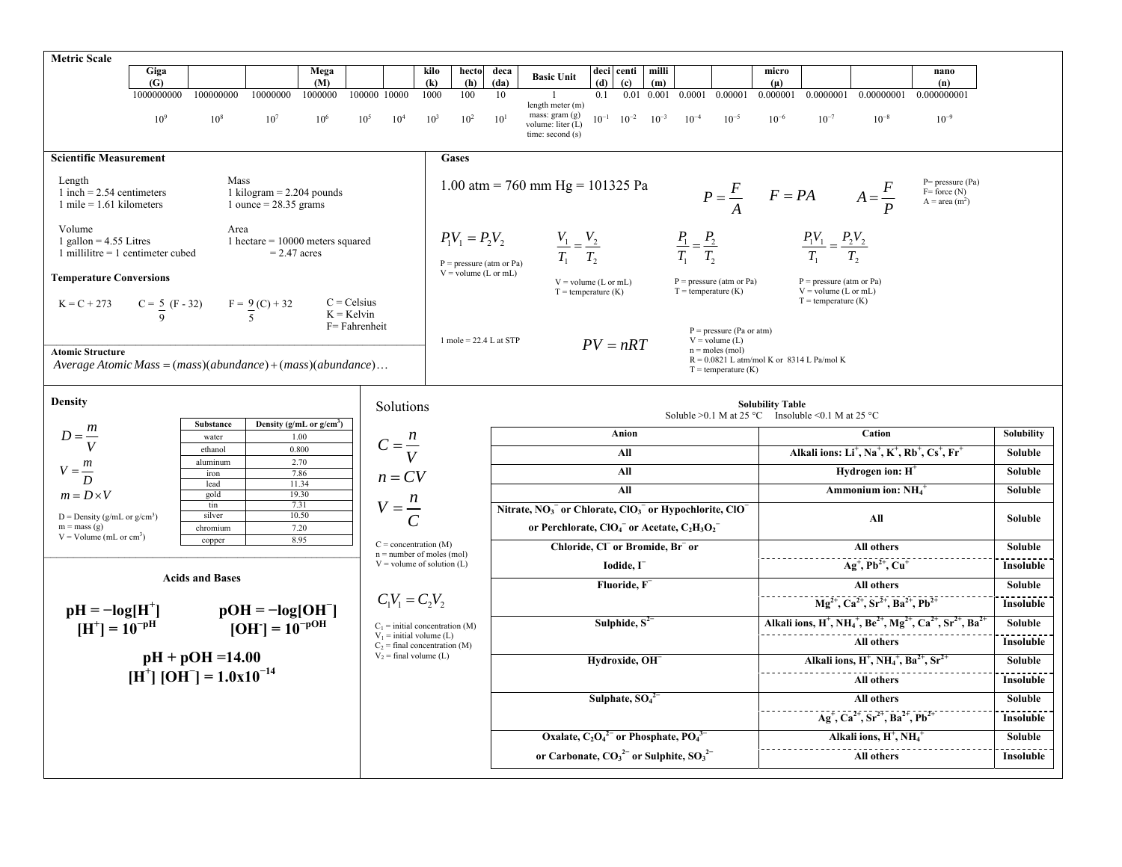| Giga<br>Mega<br>deci centi milli<br>kilo<br>hecto<br>deca<br>micro<br>nano<br><b>Basic Unit</b><br>(G)<br>(M)<br>(h)<br>(da)<br>(d)<br>(k)<br>$\left( \mathbf{c} \right)$<br>(m)<br>$(\mu)$<br>(n)<br>100000000<br>10000000<br>1000000<br>100000 10000<br>1000<br>100<br>0.00001<br>0.000001<br>0.0000001<br>0.00000001<br>0.000000001<br>1000000000<br>0.01<br>0.001<br>0.0001<br>10<br>0.1<br>length meter $(m)$<br>mass: gram (g)<br>10 <sup>9</sup><br>10 <sup>8</sup><br>10 <sup>5</sup><br>10 <sup>2</sup><br>$10^{-1}$ $10^{-2}$<br>$10^{-4}$<br>$10^{-5}$<br>$10^{-6}$<br>$10^{-7}$<br>$10^{-8}$<br>$10^{-9}$<br>10 <sup>7</sup><br>$10^{6}$<br>10 <sup>4</sup><br>$10^{3}$<br>$10^{-3}$<br>$10^{1}$<br>volume: liter (L)<br>time: second (s)<br><b>Scientific Measurement</b><br><b>Gases</b><br>Length<br>Mass<br>$P= pressure(Pa)$<br>1.00 atm = 760 mm Hg = 101325 Pa<br>$P = \frac{F}{A}$ $F = PA$ $A = \frac{F}{P}$<br>1 kilogram $= 2.204$ pounds<br>1 inch = $2.54$ centimeters<br>$F=$ force $(N)$<br>$A = area(m2)$<br>$1$ mile = 1.61 kilometers<br>1 ounce $= 28.35$ grams<br>Volume<br>Area<br>$P_1V_1 = P_2V_2$<br>$\frac{P_1}{T_1} = \frac{P_2}{T_2}$<br>$\frac{P_1V_1}{T_1} = \frac{P_2V_2}{T_2}$<br>$\frac{V_1}{T_1} = \frac{V_2}{T_2}$<br>1 gallon = $4.55$ Litres<br>1 hectare $= 10000$ meters squared<br>1 millilitre = $1$ centimeter cubed<br>$= 2.47$ acres<br>$P = pressure (atm or Pa)$<br>$V =$ volume (L or mL)<br><b>Temperature Conversions</b><br>$P = pressure (atm or Pa)$<br>$V =$ volume (L or mL)<br>$P = pressure (atm or Pa)$<br>$V =$ volume (L or mL)<br>$T =$ temperature $(K)$<br>$T =$ temperature $(K)$<br>$T =$ temperature (K)<br>$C = Celsius$<br>$K = C + 273$<br>$C = \frac{5}{9}$ (F - 32) $F = \frac{9}{5}$ (C) + 32<br>$K =$ Kelvin<br>F= Fahrenheit<br>$P = pressure (Pa or atm)$<br>1 mole = $22.4$ L at STP<br>$V = volume(L)$<br>$PV = nRT$<br>$n =$ moles (mol)<br><b>Atomic Structure</b><br>$R = 0.0821$ L atm/mol K or 8314 L Pa/mol K<br>Average Atomic Mass = $(mass)(abundance) + (mass)(abundance)$<br>$T =$ temperature $(K)$<br><b>Density</b><br><b>Solubility Table</b><br>Solutions<br>Soluble >0.1 M at 25 °C Insoluble <0.1 M at 25 °C<br>Density (g/mL or $g/cm3$ )<br>Substance<br>$D = \frac{m}{V}$<br>Cation<br>Anion<br>Solubility<br>1.00<br>water |  |
|-----------------------------------------------------------------------------------------------------------------------------------------------------------------------------------------------------------------------------------------------------------------------------------------------------------------------------------------------------------------------------------------------------------------------------------------------------------------------------------------------------------------------------------------------------------------------------------------------------------------------------------------------------------------------------------------------------------------------------------------------------------------------------------------------------------------------------------------------------------------------------------------------------------------------------------------------------------------------------------------------------------------------------------------------------------------------------------------------------------------------------------------------------------------------------------------------------------------------------------------------------------------------------------------------------------------------------------------------------------------------------------------------------------------------------------------------------------------------------------------------------------------------------------------------------------------------------------------------------------------------------------------------------------------------------------------------------------------------------------------------------------------------------------------------------------------------------------------------------------------------------------------------------------------------------------------------------------------------------------------------------------------------------------------------------------------------------------------------------------------------------------------------------------------------------------------------------------------------------------------------------------------------------------------------------------------------------------------|--|
|                                                                                                                                                                                                                                                                                                                                                                                                                                                                                                                                                                                                                                                                                                                                                                                                                                                                                                                                                                                                                                                                                                                                                                                                                                                                                                                                                                                                                                                                                                                                                                                                                                                                                                                                                                                                                                                                                                                                                                                                                                                                                                                                                                                                                                                                                                                                         |  |
|                                                                                                                                                                                                                                                                                                                                                                                                                                                                                                                                                                                                                                                                                                                                                                                                                                                                                                                                                                                                                                                                                                                                                                                                                                                                                                                                                                                                                                                                                                                                                                                                                                                                                                                                                                                                                                                                                                                                                                                                                                                                                                                                                                                                                                                                                                                                         |  |
|                                                                                                                                                                                                                                                                                                                                                                                                                                                                                                                                                                                                                                                                                                                                                                                                                                                                                                                                                                                                                                                                                                                                                                                                                                                                                                                                                                                                                                                                                                                                                                                                                                                                                                                                                                                                                                                                                                                                                                                                                                                                                                                                                                                                                                                                                                                                         |  |
|                                                                                                                                                                                                                                                                                                                                                                                                                                                                                                                                                                                                                                                                                                                                                                                                                                                                                                                                                                                                                                                                                                                                                                                                                                                                                                                                                                                                                                                                                                                                                                                                                                                                                                                                                                                                                                                                                                                                                                                                                                                                                                                                                                                                                                                                                                                                         |  |
|                                                                                                                                                                                                                                                                                                                                                                                                                                                                                                                                                                                                                                                                                                                                                                                                                                                                                                                                                                                                                                                                                                                                                                                                                                                                                                                                                                                                                                                                                                                                                                                                                                                                                                                                                                                                                                                                                                                                                                                                                                                                                                                                                                                                                                                                                                                                         |  |
|                                                                                                                                                                                                                                                                                                                                                                                                                                                                                                                                                                                                                                                                                                                                                                                                                                                                                                                                                                                                                                                                                                                                                                                                                                                                                                                                                                                                                                                                                                                                                                                                                                                                                                                                                                                                                                                                                                                                                                                                                                                                                                                                                                                                                                                                                                                                         |  |
|                                                                                                                                                                                                                                                                                                                                                                                                                                                                                                                                                                                                                                                                                                                                                                                                                                                                                                                                                                                                                                                                                                                                                                                                                                                                                                                                                                                                                                                                                                                                                                                                                                                                                                                                                                                                                                                                                                                                                                                                                                                                                                                                                                                                                                                                                                                                         |  |
|                                                                                                                                                                                                                                                                                                                                                                                                                                                                                                                                                                                                                                                                                                                                                                                                                                                                                                                                                                                                                                                                                                                                                                                                                                                                                                                                                                                                                                                                                                                                                                                                                                                                                                                                                                                                                                                                                                                                                                                                                                                                                                                                                                                                                                                                                                                                         |  |
|                                                                                                                                                                                                                                                                                                                                                                                                                                                                                                                                                                                                                                                                                                                                                                                                                                                                                                                                                                                                                                                                                                                                                                                                                                                                                                                                                                                                                                                                                                                                                                                                                                                                                                                                                                                                                                                                                                                                                                                                                                                                                                                                                                                                                                                                                                                                         |  |
|                                                                                                                                                                                                                                                                                                                                                                                                                                                                                                                                                                                                                                                                                                                                                                                                                                                                                                                                                                                                                                                                                                                                                                                                                                                                                                                                                                                                                                                                                                                                                                                                                                                                                                                                                                                                                                                                                                                                                                                                                                                                                                                                                                                                                                                                                                                                         |  |
| $C=\frac{n}{V}$<br>0.800<br>ethanol<br>Alkali ions: $Li^+$ , $Na^+$ , $K^+$ , $Rb^+$ , $Cs^+$ , $Fr^+$<br>All<br>Soluble                                                                                                                                                                                                                                                                                                                                                                                                                                                                                                                                                                                                                                                                                                                                                                                                                                                                                                                                                                                                                                                                                                                                                                                                                                                                                                                                                                                                                                                                                                                                                                                                                                                                                                                                                                                                                                                                                                                                                                                                                                                                                                                                                                                                                |  |
| 2.70<br>aluminum<br>$V = \frac{m}{D}$<br>Hydrogen ion: H <sup>+</sup><br>All<br>Soluble<br>7.86<br>$n = CV$<br>iron                                                                                                                                                                                                                                                                                                                                                                                                                                                                                                                                                                                                                                                                                                                                                                                                                                                                                                                                                                                                                                                                                                                                                                                                                                                                                                                                                                                                                                                                                                                                                                                                                                                                                                                                                                                                                                                                                                                                                                                                                                                                                                                                                                                                                     |  |
| 11.34<br>lead<br>All<br>Ammonium ion: NH <sub>4</sub><br>Soluble<br>$m = D \times V$<br>gold<br>19.30                                                                                                                                                                                                                                                                                                                                                                                                                                                                                                                                                                                                                                                                                                                                                                                                                                                                                                                                                                                                                                                                                                                                                                                                                                                                                                                                                                                                                                                                                                                                                                                                                                                                                                                                                                                                                                                                                                                                                                                                                                                                                                                                                                                                                                   |  |
| $V = \frac{n}{C}$<br>tin<br>7.31<br>Nitrate, NO <sub>3</sub> or Chlorate, ClO <sub>3</sub> or Hypochlorite, ClO<br>10.50<br>silver<br>D = Density ( $g/mL$ or $g/cm3$ )<br>All<br><b>Soluble</b><br>or Perchlorate, $ClO4$ or Acetate, $C_2H_3O_2$<br>$m = mass(g)$<br>7.20<br>chromium<br>$V = Volume (mL or cm3)$                                                                                                                                                                                                                                                                                                                                                                                                                                                                                                                                                                                                                                                                                                                                                                                                                                                                                                                                                                                                                                                                                                                                                                                                                                                                                                                                                                                                                                                                                                                                                                                                                                                                                                                                                                                                                                                                                                                                                                                                                     |  |
| 8.95<br>copper<br>$C = concentration (M)$<br>Chloride, CI or Bromide, Br or<br>All others<br>Soluble<br>$n =$ number of moles (mol)                                                                                                                                                                                                                                                                                                                                                                                                                                                                                                                                                                                                                                                                                                                                                                                                                                                                                                                                                                                                                                                                                                                                                                                                                                                                                                                                                                                                                                                                                                                                                                                                                                                                                                                                                                                                                                                                                                                                                                                                                                                                                                                                                                                                     |  |
| $Ag^+, Pb^{2+}, Cu^+$<br>$V =$ volume of solution (L)<br>Iodide, I<br>Insoluble                                                                                                                                                                                                                                                                                                                                                                                                                                                                                                                                                                                                                                                                                                                                                                                                                                                                                                                                                                                                                                                                                                                                                                                                                                                                                                                                                                                                                                                                                                                                                                                                                                                                                                                                                                                                                                                                                                                                                                                                                                                                                                                                                                                                                                                         |  |
| <b>Acids and Bases</b><br>Fluoride, F<br>All others<br><b>Soluble</b>                                                                                                                                                                                                                                                                                                                                                                                                                                                                                                                                                                                                                                                                                                                                                                                                                                                                                                                                                                                                                                                                                                                                                                                                                                                                                                                                                                                                                                                                                                                                                                                                                                                                                                                                                                                                                                                                                                                                                                                                                                                                                                                                                                                                                                                                   |  |
| $C_1V_1 = C_2V_2$<br>$Mg^{2+}$ , $Ca^{2+}$ , $Sr^{2+}$ , $Ba^{2+}$ , $Pb^{2+}$<br>Insoluble<br>$pH = -log[H^+]$                                                                                                                                                                                                                                                                                                                                                                                                                                                                                                                                                                                                                                                                                                                                                                                                                                                                                                                                                                                                                                                                                                                                                                                                                                                                                                                                                                                                                                                                                                                                                                                                                                                                                                                                                                                                                                                                                                                                                                                                                                                                                                                                                                                                                         |  |
| $pOH = -log[OH^-]$<br>$[OH^-] = 10^{-pOH}$<br>Alkali ions, H <sup>+</sup> , NH <sub>4</sub> <sup>+</sup> , Be <sup>2+</sup> , Mg <sup>2+</sup> , Ca <sup>2+</sup> , Sr <sup>2+</sup> , Ba <sup>2</sup><br>Sulphide, $S^{2-}$<br>Soluble<br>$[H^+] = 10^{-pH}$<br>$C_1$ = initial concentration (M)                                                                                                                                                                                                                                                                                                                                                                                                                                                                                                                                                                                                                                                                                                                                                                                                                                                                                                                                                                                                                                                                                                                                                                                                                                                                                                                                                                                                                                                                                                                                                                                                                                                                                                                                                                                                                                                                                                                                                                                                                                      |  |
| $V_1$ = initial volume (L)<br>All others<br>Insoluble<br>$C_2$ = final concentration (M)                                                                                                                                                                                                                                                                                                                                                                                                                                                                                                                                                                                                                                                                                                                                                                                                                                                                                                                                                                                                                                                                                                                                                                                                                                                                                                                                                                                                                                                                                                                                                                                                                                                                                                                                                                                                                                                                                                                                                                                                                                                                                                                                                                                                                                                |  |
| $V_2$ = final volume (L)<br>$pH + pOH = 14.00$<br>Hydroxide, OH<br>Alkali ions, $H^+$ , $NH_4^+$ , $Ba^{2+}$ , $Sr^{2+}$<br>Soluble                                                                                                                                                                                                                                                                                                                                                                                                                                                                                                                                                                                                                                                                                                                                                                                                                                                                                                                                                                                                                                                                                                                                                                                                                                                                                                                                                                                                                                                                                                                                                                                                                                                                                                                                                                                                                                                                                                                                                                                                                                                                                                                                                                                                     |  |
| $[\hat{H}^+] [\hat{OH}^-] = 1.0 \times 10^{-14}$<br>All others<br>Insoluble                                                                                                                                                                                                                                                                                                                                                                                                                                                                                                                                                                                                                                                                                                                                                                                                                                                                                                                                                                                                                                                                                                                                                                                                                                                                                                                                                                                                                                                                                                                                                                                                                                                                                                                                                                                                                                                                                                                                                                                                                                                                                                                                                                                                                                                             |  |
| Sulphate, $SO42$<br>All others<br>Soluble                                                                                                                                                                                                                                                                                                                                                                                                                                                                                                                                                                                                                                                                                                                                                                                                                                                                                                                                                                                                                                                                                                                                                                                                                                                                                                                                                                                                                                                                                                                                                                                                                                                                                                                                                                                                                                                                                                                                                                                                                                                                                                                                                                                                                                                                                               |  |
| $Ag2+, Ca2+, Sr2+, Ba2+, Pb2+$<br>Insoluble                                                                                                                                                                                                                                                                                                                                                                                                                                                                                                                                                                                                                                                                                                                                                                                                                                                                                                                                                                                                                                                                                                                                                                                                                                                                                                                                                                                                                                                                                                                                                                                                                                                                                                                                                                                                                                                                                                                                                                                                                                                                                                                                                                                                                                                                                             |  |
|                                                                                                                                                                                                                                                                                                                                                                                                                                                                                                                                                                                                                                                                                                                                                                                                                                                                                                                                                                                                                                                                                                                                                                                                                                                                                                                                                                                                                                                                                                                                                                                                                                                                                                                                                                                                                                                                                                                                                                                                                                                                                                                                                                                                                                                                                                                                         |  |
| Oxalate, $C_2O_4^2$ or Phosphate, $PO_4^3$<br>Alkali ions, $H^+$ , N $H_4^+$<br><b>Soluble</b>                                                                                                                                                                                                                                                                                                                                                                                                                                                                                                                                                                                                                                                                                                                                                                                                                                                                                                                                                                                                                                                                                                                                                                                                                                                                                                                                                                                                                                                                                                                                                                                                                                                                                                                                                                                                                                                                                                                                                                                                                                                                                                                                                                                                                                          |  |